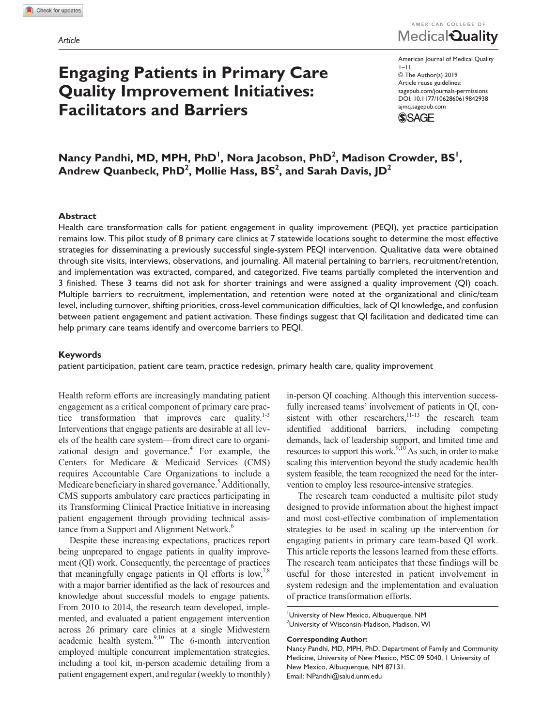# **Engaging Patients in Primary Care Quality Improvement Initiatives: Facilitators and Barriers**

AMERICAN COLLEGE OF Medical Quality

American Journal of Medical Quality 1–11 © The Author(s) 2019 Article reuse guidelines: [sagepub.com/journals-permissions](https://us.sagepub.com/en-us/journals-permissions) DOI: 10.1177/1062860619842938 [ajmq.sagepub.com](https://ajmq.sagepub.com) **SSAGE** 

 $\bm{\mathsf{N}}$ andhi,  $\bm{\mathsf{MD}}, \bm{\mathsf{MPH}}, \bm{\mathsf{PhD}}^{\mathsf{I}}, \bm{\mathsf{Nora}}$  Jacobson,  $\bm{\mathsf{PhD}}^{\mathsf{2}}, \bm{\mathsf{M}}$ adison Crowder,  $\bm{\mathsf{BS}}^{\mathsf{I}},$ Andrew Quanbeck, PhD<sup>2</sup>, Mollie Hass, BS<sup>2</sup>, and Sarah Davis, JD<sup>2</sup>

#### **Abstract**

Health care transformation calls for patient engagement in quality improvement (PEQI), yet practice participation remains low. This pilot study of 8 primary care clinics at 7 statewide locations sought to determine the most effective strategies for disseminating a previously successful single-system PEQI intervention. Qualitative data were obtained through site visits, interviews, observations, and journaling. All material pertaining to barriers, recruitment/retention, and implementation was extracted, compared, and categorized. Five teams partially completed the intervention and 3 finished. These 3 teams did not ask for shorter trainings and were assigned a quality improvement (QI) coach. Multiple barriers to recruitment, implementation, and retention were noted at the organizational and clinic/team level, including turnover, shifting priorities, cross-level communication difficulties, lack of QI knowledge, and confusion between patient engagement and patient activation. These findings suggest that QI facilitation and dedicated time can help primary care teams identify and overcome barriers to PEQI.

#### **Keywords**

patient participation, patient care team, practice redesign, primary health care, quality improvement

Health reform efforts are increasingly mandating patient engagement as a critical component of primary care practice transformation that improves care quality. $1-3$ Interventions that engage patients are desirable at all levels of the health care system—from direct care to organizational design and governance.<sup>4</sup> For example, the Centers for Medicare & Medicaid Services (CMS) requires Accountable Care Organizations to include a Medicare beneficiary in shared governance.<sup>5</sup> Additionally, CMS supports ambulatory care practices participating in its Transforming Clinical Practice Initiative in increasing patient engagement through providing technical assistance from a Support and Alignment Network.<sup>6</sup>

Despite these increasing expectations, practices report being unprepared to engage patients in quality improvement (QI) work. Consequently, the percentage of practices that meaningfully engage patients in QI efforts is low,<sup>7,8</sup> with a major barrier identified as the lack of resources and knowledge about successful models to engage patients. From 2010 to 2014, the research team developed, implemented, and evaluated a patient engagement intervention across 26 primary care clinics at a single Midwestern academic health system. $9,10$  The 6-month intervention employed multiple concurrent implementation strategies, including a tool kit, in-person academic detailing from a patient engagement expert, and regular (weekly to monthly)

in-person QI coaching. Although this intervention successfully increased teams' involvement of patients in QI, consistent with other researchers, $11-13$  the research team identified additional barriers, including competing demands, lack of leadership support, and limited time and resources to support this work. $9,10$  As such, in order to make scaling this intervention beyond the study academic health system feasible, the team recognized the need for the intervention to employ less resource-intensive strategies.

The research team conducted a multisite pilot study designed to provide information about the highest impact and most cost-effective combination of implementation strategies to be used in scaling up the intervention for engaging patients in primary care team-based QI work. This article reports the lessons learned from these efforts. The research team anticipates that these findings will be useful for those interested in patient involvement in system redesign and the implementation and evaluation of practice transformation efforts.

University of New Mexico, Albuquerque, NM 2 University of Wisconsin-Madison, Madison, WI

**Corresponding Author:**

Nancy Pandhi, MD, MPH, PhD, Department of Family and Community Medicine, University of New Mexico, MSC 09 5040, 1 University of New Mexico, Albuquerque, NM 87131. Email: [NPandhi@salud.unm.edu](mailto:NPandhi@salud.unm.edu)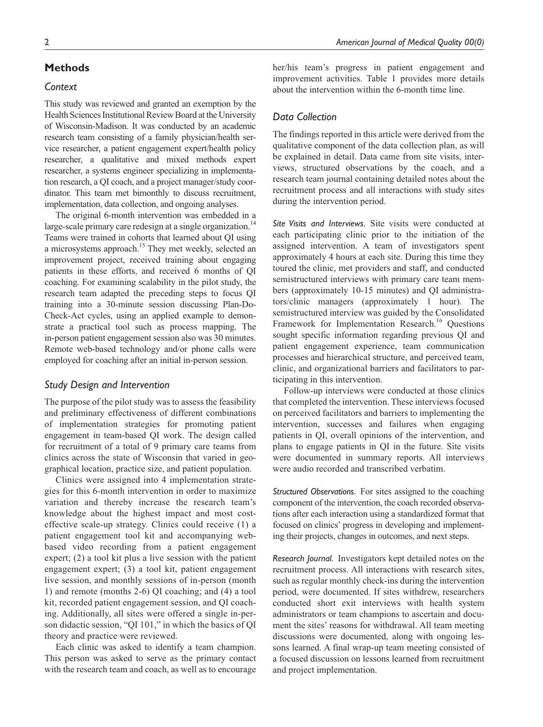# **Methods**

# *Context*

This study was reviewed and granted an exemption by the Health Sciences Institutional Review Board at the University of Wisconsin-Madison. It was conducted by an academic research team consisting of a family physician/health service researcher, a patient engagement expert/health policy researcher, a qualitative and mixed methods expert researcher, a systems engineer specializing in implementation research, a QI coach, and a project manager/study coordinator. This team met bimonthly to discuss recruitment, implementation, data collection, and ongoing analyses.

The original 6-month intervention was embedded in a large-scale primary care redesign at a single organization.<sup>14</sup> Teams were trained in cohorts that learned about QI using a microsystems approach.<sup>15</sup> They met weekly, selected an improvement project, received training about engaging patients in these efforts, and received 6 months of QI coaching. For examining scalability in the pilot study, the research team adapted the preceding steps to focus QI training into a 30-minute session discussing Plan-Do-Check-Act cycles, using an applied example to demonstrate a practical tool such as process mapping. The in-person patient engagement session also was 30 minutes. Remote web-based technology and/or phone calls were employed for coaching after an initial in-person session.

#### *Study Design and Intervention*

The purpose of the pilot study was to assess the feasibility and preliminary effectiveness of different combinations of implementation strategies for promoting patient engagement in team-based QI work. The design called for recruitment of a total of 9 primary care teams from clinics across the state of Wisconsin that varied in geographical location, practice size, and patient population.

Clinics were assigned into 4 implementation strategies for this 6-month intervention in order to maximize variation and thereby increase the research team's knowledge about the highest impact and most costeffective scale-up strategy. Clinics could receive (1) a patient engagement tool kit and accompanying webbased video recording from a patient engagement expert; (2) a tool kit plus a live session with the patient engagement expert; (3) a tool kit, patient engagement live session, and monthly sessions of in-person (month 1) and remote (months 2-6) QI coaching; and (4) a tool kit, recorded patient engagement session, and QI coaching. Additionally, all sites were offered a single in-person didactic session, "QI 101," in which the basics of QI theory and practice were reviewed.

Each clinic was asked to identify a team champion. This person was asked to serve as the primary contact with the research team and coach, as well as to encourage her/his team's progress in patient engagement and improvement activities. Table 1 provides more details about the intervention within the 6-month time line.

## *Data Collection*

The findings reported in this article were derived from the qualitative component of the data collection plan, as will be explained in detail. Data came from site visits, interviews, structured observations by the coach, and a research team journal containing detailed notes about the recruitment process and all interactions with study sites during the intervention period.

*Site Visits and Interviews.* Site visits were conducted at each participating clinic prior to the initiation of the assigned intervention. A team of investigators spent approximately 4 hours at each site. During this time they toured the clinic, met providers and staff, and conducted semistructured interviews with primary care team members (approximately 10-15 minutes) and QI administrators/clinic managers (approximately 1 hour). The semistructured interview was guided by the Consolidated Framework for Implementation Research.<sup>16</sup> Questions sought specific information regarding previous QI and patient engagement experience, team communication processes and hierarchical structure, and perceived team, clinic, and organizational barriers and facilitators to participating in this intervention.

Follow-up interviews were conducted at those clinics that completed the intervention. These interviews focused on perceived facilitators and barriers to implementing the intervention, successes and failures when engaging patients in QI, overall opinions of the intervention, and plans to engage patients in QI in the future. Site visits were documented in summary reports. All interviews were audio recorded and transcribed verbatim.

*Structured Observations.* For sites assigned to the coaching component of the intervention, the coach recorded observations after each interaction using a standardized format that focused on clinics' progress in developing and implementing their projects, changes in outcomes, and next steps.

*Research Journal.* Investigators kept detailed notes on the recruitment process. All interactions with research sites, such as regular monthly check-ins during the intervention period, were documented. If sites withdrew, researchers conducted short exit interviews with health system administrators or team champions to ascertain and document the sites' reasons for withdrawal. All team meeting discussions were documented, along with ongoing lessons learned. A final wrap-up team meeting consisted of a focused discussion on lessons learned from recruitment and project implementation.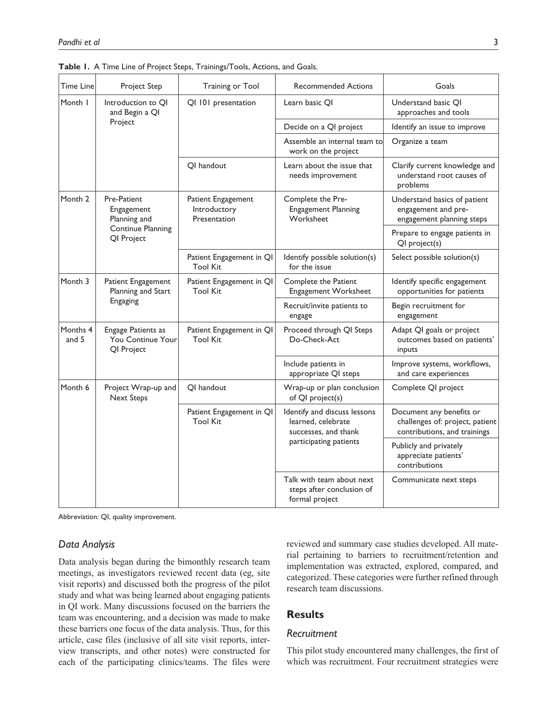| Time Line          | Project Step                                                 | Training or Tool                                   | <b>Recommended Actions</b>                                                 | Goals                                                                                       |
|--------------------|--------------------------------------------------------------|----------------------------------------------------|----------------------------------------------------------------------------|---------------------------------------------------------------------------------------------|
| Month I            | Introduction to OI<br>and Begin a QI                         | QI 101 presentation                                | Learn basic OI                                                             | Understand basic QI<br>approaches and tools                                                 |
|                    | Project                                                      |                                                    | Decide on a QI project                                                     | Identify an issue to improve                                                                |
|                    |                                                              |                                                    | Assemble an internal team to<br>work on the project                        | Organize a team                                                                             |
|                    |                                                              | OI handout                                         | Learn about the issue that<br>needs improvement                            | Clarify current knowledge and<br>understand root causes of<br>problems                      |
| Month 2            | Pre-Patient<br>Engagement<br>Planning and                    | Patient Engagement<br>Introductory<br>Presentation | Complete the Pre-<br><b>Engagement Planning</b><br>Worksheet               | Understand basics of patient<br>engagement and pre-<br>engagement planning steps            |
|                    | <b>Continue Planning</b><br>QI Project                       |                                                    |                                                                            | Prepare to engage patients in<br>QI project(s)                                              |
|                    |                                                              | Patient Engagement in QI<br><b>Tool Kit</b>        | Identify possible solution(s)<br>for the issue                             | Select possible solution(s)                                                                 |
| Month <sub>3</sub> | Patient Engagement<br>Planning and Start                     | Patient Engagement in QI<br><b>Tool Kit</b>        | Complete the Patient<br>Engagement Worksheet                               | Identify specific engagement<br>opportunities for patients                                  |
|                    | Engaging                                                     |                                                    | Recruit/invite patients to<br>engage                                       | Begin recruitment for<br>engagement                                                         |
| Months 4<br>and 5  | <b>Engage Patients as</b><br>You Continue Your<br>QI Project | Patient Engagement in QI<br><b>Tool Kit</b>        | Proceed through QI Steps<br>Do-Check-Act                                   | Adapt QI goals or project<br>outcomes based on patients'<br>inputs                          |
|                    |                                                              |                                                    | Include patients in<br>appropriate QI steps                                | Improve systems, workflows,<br>and care experiences                                         |
| Month 6            | Project Wrap-up and<br><b>Next Steps</b>                     | OI handout                                         | Wrap-up or plan conclusion<br>of QI project(s)                             | Complete QI project                                                                         |
|                    |                                                              | Patient Engagement in QI<br><b>Tool Kit</b>        | Identify and discuss lessons<br>learned, celebrate<br>successes, and thank | Document any benefits or<br>challenges of: project, patient<br>contributions, and trainings |
|                    |                                                              |                                                    | participating patients                                                     | Publicly and privately<br>appreciate patients'<br>contributions                             |
|                    |                                                              |                                                    | Talk with team about next<br>steps after conclusion of<br>formal project   | Communicate next steps                                                                      |

**Table 1.** A Time Line of Project Steps, Trainings/Tools, Actions, and Goals.

Abbreviation: QI, quality improvement.

#### *Data Analysis*

Data analysis began during the bimonthly research team meetings, as investigators reviewed recent data (eg, site visit reports) and discussed both the progress of the pilot study and what was being learned about engaging patients in QI work. Many discussions focused on the barriers the team was encountering, and a decision was made to make these barriers one focus of the data analysis. Thus, for this article, case files (inclusive of all site visit reports, interview transcripts, and other notes) were constructed for each of the participating clinics/teams. The files were reviewed and summary case studies developed. All material pertaining to barriers to recruitment/retention and implementation was extracted, explored, compared, and categorized. These categories were further refined through research team discussions.

# **Results**

# *Recruitment*

This pilot study encountered many challenges, the first of which was recruitment. Four recruitment strategies were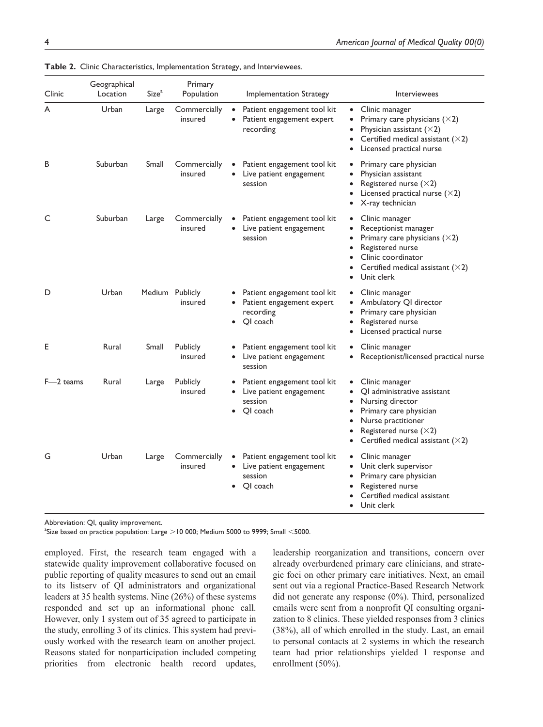| Clinic    | Geographical<br>Location | Size <sup>a</sup> | Primary<br>Population      |                                     | <b>Implementation Strategy</b>                                                    |                                     | Interviewees                                                                                                                                                                                   |
|-----------|--------------------------|-------------------|----------------------------|-------------------------------------|-----------------------------------------------------------------------------------|-------------------------------------|------------------------------------------------------------------------------------------------------------------------------------------------------------------------------------------------|
| A         | Urban                    | Large             | Commercially<br>insured    | $\bullet$<br>$\bullet$              | Patient engagement tool kit<br>Patient engagement expert<br>recording             | $\bullet$<br>$\bullet$<br>$\bullet$ | Clinic manager<br>Primary care physicians $(\times 2)$<br>Physician assistant $(\times 2)$<br>Certified medical assistant $(\times 2)$<br>Licensed practical nurse                             |
| B         | Suburban                 | Small             | Commercially<br>insured    |                                     | Patient engagement tool kit<br>Live patient engagement<br>session                 | $\bullet$<br>$\bullet$              | Primary care physician<br>Physician assistant<br>Registered nurse $(\times 2)$<br>Licensed practical nurse $(\times 2)$<br>X-ray technician                                                    |
| C         | Suburban                 | Large             | Commercially<br>insured    | $\bullet$                           | Patient engagement tool kit<br>Live patient engagement<br>session                 | $\bullet$<br>$\bullet$<br>$\bullet$ | Clinic manager<br>Receptionist manager<br>Primary care physicians $(\times 2)$<br>Registered nurse<br>Clinic coordinator<br>Certified medical assistant $(\times 2)$<br>Unit clerk             |
| D         | Urban                    | Medium Publicly   | insured                    | $\bullet$                           | Patient engagement tool kit<br>Patient engagement expert<br>recording<br>QI coach | $\bullet$<br>$\bullet$              | Clinic manager<br>Ambulatory QI director<br>Primary care physician<br>Registered nurse<br>Licensed practical nurse                                                                             |
| E         | Rural                    | Small             | <b>Publicly</b><br>insured | $\bullet$                           | Patient engagement tool kit<br>Live patient engagement<br>session                 | $\bullet$                           | Clinic manager<br>Receptionist/licensed practical nurse                                                                                                                                        |
| F-2 teams | Rural                    | Large             | Publicly<br>insured        | $\bullet$<br>$\bullet$<br>$\bullet$ | Patient engagement tool kit<br>Live patient engagement<br>session<br>OI coach     | $\bullet$<br>$\bullet$<br>$\bullet$ | Clinic manager<br>OI administrative assistant<br>Nursing director<br>Primary care physician<br>Nurse practitioner<br>Registered nurse $(\times 2)$<br>Certified medical assistant $(\times 2)$ |
| G         | Urban                    | Large             | Commercially<br>insured    | $\bullet$<br>$\bullet$              | Patient engagement tool kit<br>Live patient engagement<br>session<br>QI coach     | $\bullet$<br>$\bullet$              | Clinic manager<br>Unit clerk supervisor<br>Primary care physician<br>Registered nurse<br>Certified medical assistant<br>Unit clerk                                                             |

**Table 2.** Clinic Characteristics, Implementation Strategy, and Interviewees.

Abbreviation: QI, quality improvement.

 $^{\text{a}}$ Size based on practice population: Large  $>$  10 000; Medium 5000 to 9999; Small  $<$ 5000.

employed. First, the research team engaged with a statewide quality improvement collaborative focused on public reporting of quality measures to send out an email to its listserv of QI administrators and organizational leaders at 35 health systems. Nine (26%) of these systems responded and set up an informational phone call. However, only 1 system out of 35 agreed to participate in the study, enrolling 3 of its clinics. This system had previously worked with the research team on another project. Reasons stated for nonparticipation included competing priorities from electronic health record updates,

leadership reorganization and transitions, concern over already overburdened primary care clinicians, and strategic foci on other primary care initiatives. Next, an email sent out via a regional Practice-Based Research Network did not generate any response (0%). Third, personalized emails were sent from a nonprofit QI consulting organization to 8 clinics. These yielded responses from 3 clinics (38%), all of which enrolled in the study. Last, an email to personal contacts at 2 systems in which the research team had prior relationships yielded 1 response and enrollment (50%).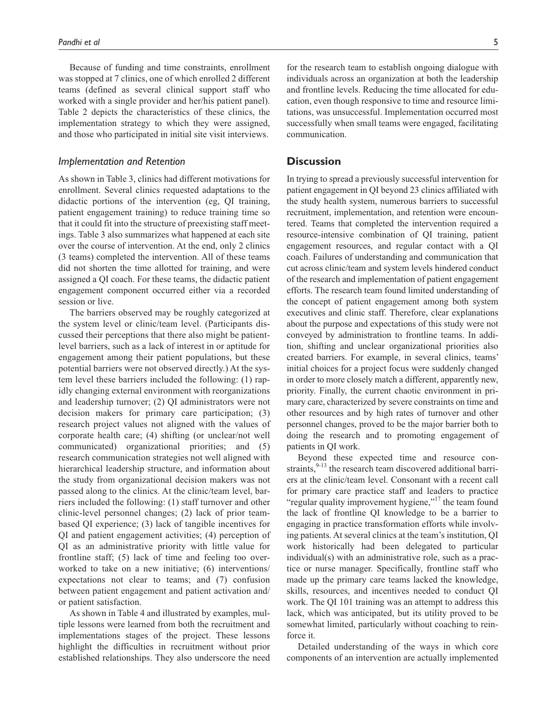Because of funding and time constraints, enrollment was stopped at 7 clinics, one of which enrolled 2 different teams (defined as several clinical support staff who worked with a single provider and her/his patient panel). Table 2 depicts the characteristics of these clinics, the implementation strategy to which they were assigned, and those who participated in initial site visit interviews.

# *Implementation and Retention*

As shown in Table 3, clinics had different motivations for enrollment. Several clinics requested adaptations to the didactic portions of the intervention (eg, QI training, patient engagement training) to reduce training time so that it could fit into the structure of preexisting staff meetings. Table 3 also summarizes what happened at each site over the course of intervention. At the end, only 2 clinics (3 teams) completed the intervention. All of these teams did not shorten the time allotted for training, and were assigned a QI coach. For these teams, the didactic patient engagement component occurred either via a recorded session or live.

The barriers observed may be roughly categorized at the system level or clinic/team level. (Participants discussed their perceptions that there also might be patientlevel barriers, such as a lack of interest in or aptitude for engagement among their patient populations, but these potential barriers were not observed directly.) At the system level these barriers included the following: (1) rapidly changing external environment with reorganizations and leadership turnover; (2) QI administrators were not decision makers for primary care participation; (3) research project values not aligned with the values of corporate health care; (4) shifting (or unclear/not well communicated) organizational priorities; and (5) research communication strategies not well aligned with hierarchical leadership structure, and information about the study from organizational decision makers was not passed along to the clinics. At the clinic/team level, barriers included the following: (1) staff turnover and other clinic-level personnel changes; (2) lack of prior teambased QI experience; (3) lack of tangible incentives for QI and patient engagement activities; (4) perception of QI as an administrative priority with little value for frontline staff; (5) lack of time and feeling too overworked to take on a new initiative; (6) interventions/ expectations not clear to teams; and (7) confusion between patient engagement and patient activation and/ or patient satisfaction.

As shown in Table 4 and illustrated by examples, multiple lessons were learned from both the recruitment and implementations stages of the project. These lessons highlight the difficulties in recruitment without prior established relationships. They also underscore the need

for the research team to establish ongoing dialogue with individuals across an organization at both the leadership and frontline levels. Reducing the time allocated for education, even though responsive to time and resource limitations, was unsuccessful. Implementation occurred most successfully when small teams were engaged, facilitating communication.

## **Discussion**

In trying to spread a previously successful intervention for patient engagement in QI beyond 23 clinics affiliated with the study health system, numerous barriers to successful recruitment, implementation, and retention were encountered. Teams that completed the intervention required a resource-intensive combination of QI training, patient engagement resources, and regular contact with a QI coach. Failures of understanding and communication that cut across clinic/team and system levels hindered conduct of the research and implementation of patient engagement efforts. The research team found limited understanding of the concept of patient engagement among both system executives and clinic staff. Therefore, clear explanations about the purpose and expectations of this study were not conveyed by administration to frontline teams. In addition, shifting and unclear organizational priorities also created barriers. For example, in several clinics, teams' initial choices for a project focus were suddenly changed in order to more closely match a different, apparently new, priority. Finally, the current chaotic environment in primary care, characterized by severe constraints on time and other resources and by high rates of turnover and other personnel changes, proved to be the major barrier both to doing the research and to promoting engagement of patients in QI work.

Beyond these expected time and resource constraints,  $9-13$  the research team discovered additional barriers at the clinic/team level. Consonant with a recent call for primary care practice staff and leaders to practice "regular quality improvement hygiene,"<sup>17</sup> the team found the lack of frontline QI knowledge to be a barrier to engaging in practice transformation efforts while involving patients. At several clinics at the team's institution, QI work historically had been delegated to particular individual(s) with an administrative role, such as a practice or nurse manager. Specifically, frontline staff who made up the primary care teams lacked the knowledge, skills, resources, and incentives needed to conduct QI work. The QI 101 training was an attempt to address this lack, which was anticipated, but its utility proved to be somewhat limited, particularly without coaching to reinforce it.

Detailed understanding of the ways in which core components of an intervention are actually implemented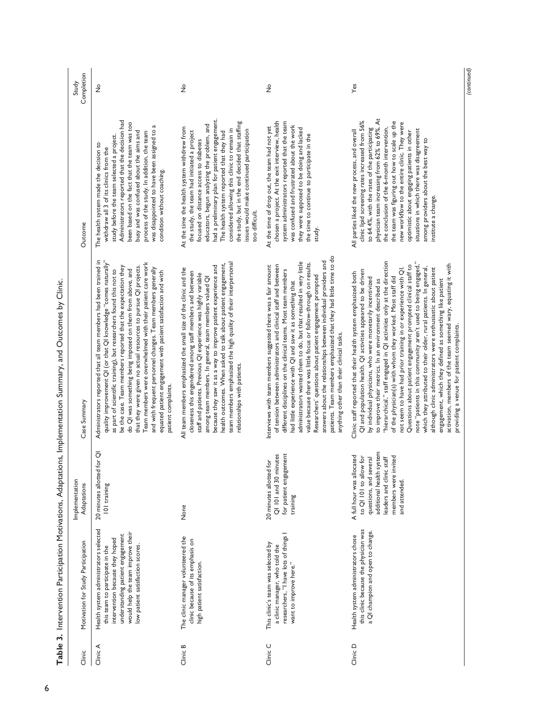| Clinic   | Motivation for Study Participation                                                                                                                                                                                       | Implementation<br>Adaptations                                                                                                                                                  | Case Summary                                                                                                                                                                                                                                                                                                                                                                                                                                                                                                                                                                                                                                                                                                                                                                                                                                                                                                         | Outcome                                                                                                                                                                                                                                                                                                                                                                                                                                                                                                          |
|----------|--------------------------------------------------------------------------------------------------------------------------------------------------------------------------------------------------------------------------|--------------------------------------------------------------------------------------------------------------------------------------------------------------------------------|----------------------------------------------------------------------------------------------------------------------------------------------------------------------------------------------------------------------------------------------------------------------------------------------------------------------------------------------------------------------------------------------------------------------------------------------------------------------------------------------------------------------------------------------------------------------------------------------------------------------------------------------------------------------------------------------------------------------------------------------------------------------------------------------------------------------------------------------------------------------------------------------------------------------|------------------------------------------------------------------------------------------------------------------------------------------------------------------------------------------------------------------------------------------------------------------------------------------------------------------------------------------------------------------------------------------------------------------------------------------------------------------------------------------------------------------|
| Clinic A | Health system administrators selected<br>would help the team improve their<br>understanding patient engagement<br>intervention because they hoped<br>low patient satisfaction scores.<br>this team to participate in the | 20 minutes allotted for QI<br>101 training                                                                                                                                     | Administrators reported that all team members had been trained in<br>quality improvement QI (or that QI knowledge "comes naturally"<br>Team members were overwhelmed with their patient care work<br>be the case. Team members reported that the expectation they<br>that they were given no actual resources to pursue QI projects.<br>and with frequent personnel changes. Team members generally<br>as part of scientific training), but researchers found this not to<br>do QI was something being imposed on them from above, and<br>equated patient engagement with patient satisfaction and with<br>patient complaints.                                                                                                                                                                                                                                                                                       | Administrators reported that the decision had<br>been based on the fact that the team was too<br>was disappointed to have been assigned to a<br>busy and was confused about the aims and<br>process of the study. In addition, the team<br>study before the team selected a project.<br>The health system made the decision to<br>withdraw all 3 of its clinics from the<br>condition without coaching.                                                                                                          |
| Clinic B | The clinic manager volunteered the<br>clinic because of its emphasis on<br>high patient satisfaction.                                                                                                                    | None                                                                                                                                                                           | team members emphasized the high quality of their interpersonal<br>health outcomes. When asked to talk about patient engagement,<br>because they saw it as a way to improve patient experience and<br>All team members emphasized the small size of the clinic and the<br>closeness this engendered among staff members and between<br>staff and patients. Previous QI experience was highly variable<br>among team members. In general, team members valued QI<br>relationships with patients.                                                                                                                                                                                                                                                                                                                                                                                                                      | had a preliminary plan for patient engagement.<br>the study, but in the end decided that staffing<br>educators, begun analyzing the problem, and<br>At the time the health system withdrew from<br>considered allowing this clinic to remain in<br>issues would make continued participation<br>the study, the team had initiated a project<br>The health system reported that they had<br>focused on distance access to diabetes<br>too difficult.                                                              |
| Clinic C | researchers, "I have lots of things I<br>This clinic's team was selected by<br>a clinic manager, who told the<br>want to improve here."                                                                                  | for patient engagement<br>QI 101 and 30 minutes<br>20 minutes allotted for<br>training                                                                                         | patients. Team members emphasized that they had little time to do<br>answers about the relationships between individual providers and<br>administrators wanted them to do, but that resulted in very little<br>value because there was little focus or follow-through on results.<br>of tension between administrators and clinical staff and between<br>Interviews with team members suggested there was a fair amount<br>different disciplines on the clinical teams. Most team members<br>Researchers' questions about patient engagement prompted<br>had little experience with QI and saw it as something that<br>anything other than their clinical tasks.                                                                                                                                                                                                                                                     | chosen a project. At the exit interview, health<br>system administrators reported that the team<br>was confused and frustrated about the work<br>At the time of drop out, the team had not yet<br>they were supposed to be doing and lacked<br>the time to continue to participate in the<br>study.                                                                                                                                                                                                              |
| Clinic D | this clinic because the physician was<br>a QI champion and open to change.<br>Health system administrators chose                                                                                                         | additional health system<br>A full hour was allocated<br>members were invited<br>to QI 101 to allow for<br>questions, and several<br>leaders and clinic staff<br>and attended. | "hierarchical," staff engaged in QI activities only at the direction<br>note "patients in this community aren't used to being engaged,"<br>activation, members of the team seemed wary, equating it with<br>Questions about patient engagement prompted clinical staff to<br>which they attributed to their older, rural patients. In general,<br>although clinic administrators were enthusiastic about patient<br>not seem to have had prior training in or experience with QI.<br>QI and population health. QI activities appeared to be driven<br>Clinic staff reported that their health system emphasized both<br>of the physician(s) with whom they worked. Most staff did<br>by individual physicians, who were monetarily incentivized<br>to improve their metrics. In an environment described as<br>engagement, which they defined as something like patient<br>providing a venue for patient complaints. | physician team increasing from 62% to 69%. At<br>clinic lipid screening rates increased from 56%<br>the team was figuring out how to scale up the<br>new worldlow to the entire clinic. They were<br>the conclusion of the 6-month intervention,<br>to 64.4%, with the rates of the participating<br>situations in which there was disagreement<br>All parties liked the new process, and overall<br>optimistic about engaging patients in other<br>among providers about the best way to<br>institute a change. |

No

Yes

Table 3. Intervention Participation Motivations, Adaptations, Implementation Summary, and Outcomes by Clinic. **Table 3.** Intervention Participation Motivations, Adaptations, Implementation Summary, and Outcomes by Clinic.

 $\frac{1}{2}$   $\frac{1}{2}$   $\frac{1}{2}$   $\frac{1}{2}$ Completion

No

 *(continued)*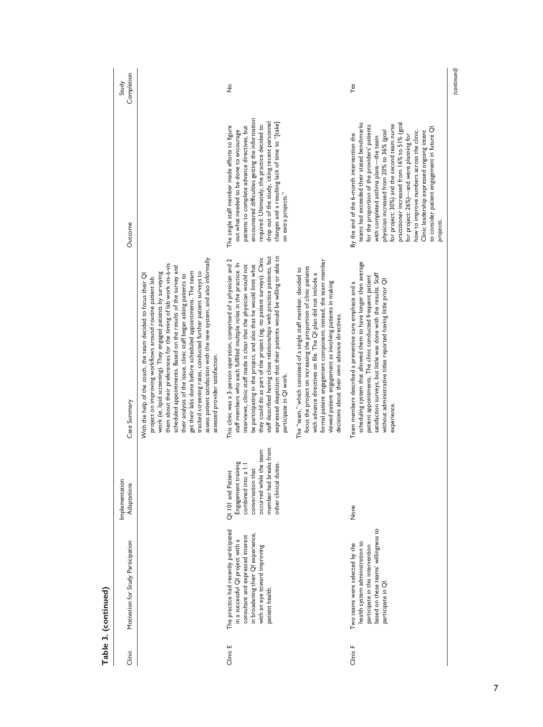| Yes<br>$\frac{1}{2}$<br>encountered difficulties getting the information<br>drop out of the study, citing recent personnel<br>changes and a resulting lack of time to "[take]<br>teams had exceeded their stated benchmarks<br>practitioner increased from 16% to 51% (goal<br>for project: 30%) and the second team nurse<br>required. Ultimately, the practice decided to<br>The single staff member made efforts to figure<br>patients to complete advance directives, but<br>for the proportion of the providers' patients<br>to consider patient engagement in future QI<br>out what needed to be done to encourage<br>physician increased from 20% to 36% (goal<br>how to improve numbers across the clinic.<br>Clinic leadership expressed ongoing intent<br>By the end of the 6-month intervention the<br>for project: 26%)—and were planning for<br>with completed asthma plans-the team<br>on extra projects."<br>projects.<br>staff described having close relationships with practice patients, but<br>expressed skepticism that their patients would be willing or able to<br>they could do as part of the project (eg, no patient surveys). Clinic<br>assess patient satisfaction with the new system, and also informally<br>formal patient engagement component; instead, the team member<br>This clinic was a 3-person operation, comprised of a physician and 2<br>scheduling system that allowed them to have longer than average<br>staff members who each fulfilled multiple roles in the practice. In<br>be participating in the project, and also that he would limit what<br>them about their preferences for the timing of lab work vis-à-vis<br>interviews, clinic staff made it clear that the physician would not<br>scheduled appointments. Based on the results of the survey and<br>focus the project on increasing the proportion of clinic patients<br>The "team," which consisted of a single staff member, decided to<br>tracked screening rates, conducted further patient surveys to<br>get their labs done before scheduled appointments. The team<br>work (ie, lipid screening). They engaged patients by surveying<br>with advance directives on file. The QI plan did not include a<br>satisfaction surveys, but little was done with the results. Staff<br>With the help of the coach, the team decided to focus their QI<br>their analysis of the issue, clinic staff began asking patients to<br>patient appointments. The clinic conducted frequent patient<br>project on improving workflows around routine patient lab<br>without administrative titles reported having little prior QI<br>Team members described a preventive care emphasis and a<br>viewed patient engagement as involving patients in making<br>decisions about their own advance directives.<br>assessed provider satisfaction.<br>participate in QI work.<br>experience<br>member had breaks from<br>occurred while the team<br>Engagement training<br>combined into a 1:1<br>other clinical duties.<br>conversation that<br>QI 101 and Patient<br>None<br>based on these teams' willingness to<br>The practice had recently participated<br>in broadening their QI experience,<br>consultant and expressed interest<br>in a successful QI project with a<br>health system administration to<br>Two teams were selected by the<br>with an eye toward improving<br>participate in this intervention<br>participate in QI.<br>patient health.<br>Clinic E<br>Clinic F | Clinic | Motivation for Study Participation | Implementation<br>Adaptations | Case Summary | Outcome | Completion<br>Study |
|-----------------------------------------------------------------------------------------------------------------------------------------------------------------------------------------------------------------------------------------------------------------------------------------------------------------------------------------------------------------------------------------------------------------------------------------------------------------------------------------------------------------------------------------------------------------------------------------------------------------------------------------------------------------------------------------------------------------------------------------------------------------------------------------------------------------------------------------------------------------------------------------------------------------------------------------------------------------------------------------------------------------------------------------------------------------------------------------------------------------------------------------------------------------------------------------------------------------------------------------------------------------------------------------------------------------------------------------------------------------------------------------------------------------------------------------------------------------------------------------------------------------------------------------------------------------------------------------------------------------------------------------------------------------------------------------------------------------------------------------------------------------------------------------------------------------------------------------------------------------------------------------------------------------------------------------------------------------------------------------------------------------------------------------------------------------------------------------------------------------------------------------------------------------------------------------------------------------------------------------------------------------------------------------------------------------------------------------------------------------------------------------------------------------------------------------------------------------------------------------------------------------------------------------------------------------------------------------------------------------------------------------------------------------------------------------------------------------------------------------------------------------------------------------------------------------------------------------------------------------------------------------------------------------------------------------------------------------------------------------------------------------------------------------------------------------------------------------------------------------------------------------------------------------------------------------------------------------------------------------------------------------------------------------------------------------------------------------------------------------------------------------------------------------------------------------------------------------------------------------|--------|------------------------------------|-------------------------------|--------------|---------|---------------------|
|                                                                                                                                                                                                                                                                                                                                                                                                                                                                                                                                                                                                                                                                                                                                                                                                                                                                                                                                                                                                                                                                                                                                                                                                                                                                                                                                                                                                                                                                                                                                                                                                                                                                                                                                                                                                                                                                                                                                                                                                                                                                                                                                                                                                                                                                                                                                                                                                                                                                                                                                                                                                                                                                                                                                                                                                                                                                                                                                                                                                                                                                                                                                                                                                                                                                                                                                                                                                                                                                                         |        |                                    |                               |              |         |                     |
|                                                                                                                                                                                                                                                                                                                                                                                                                                                                                                                                                                                                                                                                                                                                                                                                                                                                                                                                                                                                                                                                                                                                                                                                                                                                                                                                                                                                                                                                                                                                                                                                                                                                                                                                                                                                                                                                                                                                                                                                                                                                                                                                                                                                                                                                                                                                                                                                                                                                                                                                                                                                                                                                                                                                                                                                                                                                                                                                                                                                                                                                                                                                                                                                                                                                                                                                                                                                                                                                                         |        |                                    |                               |              |         |                     |
|                                                                                                                                                                                                                                                                                                                                                                                                                                                                                                                                                                                                                                                                                                                                                                                                                                                                                                                                                                                                                                                                                                                                                                                                                                                                                                                                                                                                                                                                                                                                                                                                                                                                                                                                                                                                                                                                                                                                                                                                                                                                                                                                                                                                                                                                                                                                                                                                                                                                                                                                                                                                                                                                                                                                                                                                                                                                                                                                                                                                                                                                                                                                                                                                                                                                                                                                                                                                                                                                                         |        |                                    |                               |              |         |                     |
|                                                                                                                                                                                                                                                                                                                                                                                                                                                                                                                                                                                                                                                                                                                                                                                                                                                                                                                                                                                                                                                                                                                                                                                                                                                                                                                                                                                                                                                                                                                                                                                                                                                                                                                                                                                                                                                                                                                                                                                                                                                                                                                                                                                                                                                                                                                                                                                                                                                                                                                                                                                                                                                                                                                                                                                                                                                                                                                                                                                                                                                                                                                                                                                                                                                                                                                                                                                                                                                                                         |        |                                    |                               |              |         |                     |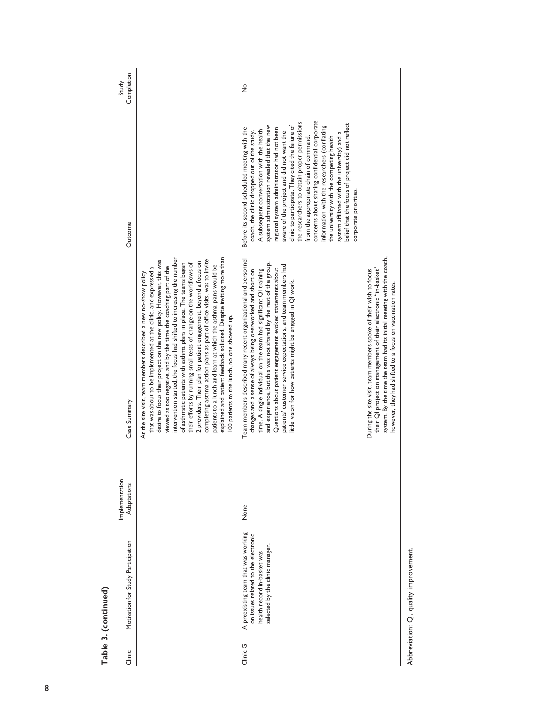|               | Table 3. (continued)                                                                                                                         |                               |                                                                                                                                                                                                                                                                                                                                                                                                                                                                                                                                                                                                                                                                                                                                                                                                                                           |                                                                                                                                                                                                                                                                                                                                                                                                                                                                                                                                                                                                                                                                                                            |                     |
|---------------|----------------------------------------------------------------------------------------------------------------------------------------------|-------------------------------|-------------------------------------------------------------------------------------------------------------------------------------------------------------------------------------------------------------------------------------------------------------------------------------------------------------------------------------------------------------------------------------------------------------------------------------------------------------------------------------------------------------------------------------------------------------------------------------------------------------------------------------------------------------------------------------------------------------------------------------------------------------------------------------------------------------------------------------------|------------------------------------------------------------------------------------------------------------------------------------------------------------------------------------------------------------------------------------------------------------------------------------------------------------------------------------------------------------------------------------------------------------------------------------------------------------------------------------------------------------------------------------------------------------------------------------------------------------------------------------------------------------------------------------------------------------|---------------------|
| Clinic        | Motivation for Study Participation                                                                                                           | Implementation<br>Adaptations | Case Summary                                                                                                                                                                                                                                                                                                                                                                                                                                                                                                                                                                                                                                                                                                                                                                                                                              | Outcome                                                                                                                                                                                                                                                                                                                                                                                                                                                                                                                                                                                                                                                                                                    | Completion<br>Study |
|               |                                                                                                                                              |                               | explained and patient feedback solicited. Despite inviting more than<br>intervention started, the focus had shifted to increasing the number<br>desire to focus their project on the new policy. However, this was<br>completing asthma action plans as part of office visits, was to invite<br>2 providers. Their plan for patient engagement, beyond a focus on<br>their efforts by running small tests of change on the workflows of<br>of asthmatic patients with asthma plans in place. The teams began<br>patients to a lunch and learn at which the asthma plans would be<br>viewed as too negative, and by the time the coaching part of the<br>that was about to be implemented at the clinic, and expressed a<br>At the site visit, team members described a new no-show policy<br>100 patients to the lunch, no one showed up. |                                                                                                                                                                                                                                                                                                                                                                                                                                                                                                                                                                                                                                                                                                            |                     |
| Clinic G      | A preexisting team that was working<br>on issues related to the electronic<br>selected by the clinic manager.<br>health record in-basket was | None                          | Team members described many recent organizational and personnel<br>and experience, but this was not shared by the rest of the group.<br>patients' customer service expectations, and team members had<br>Questions about patient engagement evoked statements about<br>time. A single individual on the team had significant QI training<br>changes and a sense of always being overworked and short on<br>ittle vision for how patients might be engaged in QI work.                                                                                                                                                                                                                                                                                                                                                                     | concerns about sharing confidential corporate<br>the researchers to obtain proper permissions<br>belief that the focus of project did not reflect<br>clinic to participate. They cited the failure of<br>system administration revealed that the new<br>information with the researchers (conflating<br>regional system administrator had not been<br>Before its second scheduled meeting with the<br>A subsequent conversation with the health<br>aware of the project and did not want the<br>system affiliated with the university) and a<br>coach, the clinic dropped out of the study.<br>from the appropriate chain of command,<br>the university with the competing health<br>corporate priorities. | $\frac{1}{2}$       |
|               |                                                                                                                                              |                               | system. By the time the team had its initial meeting with the coach,<br>their QI project on management of their electronic "in-basket"<br>During the site visit, team members spoke of their wish to focus<br>however, they had shifted to a focus on vaccination rates.                                                                                                                                                                                                                                                                                                                                                                                                                                                                                                                                                                  |                                                                                                                                                                                                                                                                                                                                                                                                                                                                                                                                                                                                                                                                                                            |                     |
| $\frac{1}{2}$ | ī                                                                                                                                            |                               |                                                                                                                                                                                                                                                                                                                                                                                                                                                                                                                                                                                                                                                                                                                                                                                                                                           |                                                                                                                                                                                                                                                                                                                                                                                                                                                                                                                                                                                                                                                                                                            |                     |

Abbreviation: QI, quality improvement. Abbreviation: QI, quality improvement.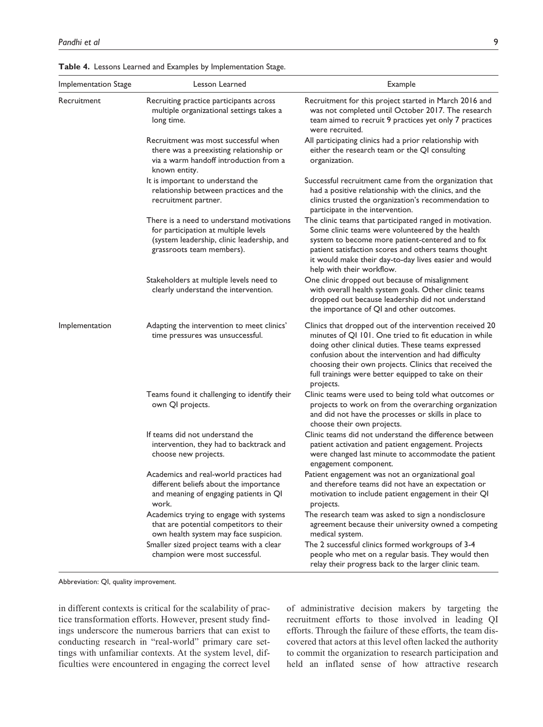| Implementation Stage | Lesson Learned                                                                                                                                               | Example                                                                                                                                                                                                                                                                                                                                                        |
|----------------------|--------------------------------------------------------------------------------------------------------------------------------------------------------------|----------------------------------------------------------------------------------------------------------------------------------------------------------------------------------------------------------------------------------------------------------------------------------------------------------------------------------------------------------------|
| Recruitment          | Recruiting practice participants across<br>multiple organizational settings takes a<br>long time.                                                            | Recruitment for this project started in March 2016 and<br>was not completed until October 2017. The research<br>team aimed to recruit 9 practices yet only 7 practices<br>were recruited.                                                                                                                                                                      |
|                      | Recruitment was most successful when<br>there was a preexisting relationship or<br>via a warm handoff introduction from a<br>known entity.                   | All participating clinics had a prior relationship with<br>either the research team or the QI consulting<br>organization.                                                                                                                                                                                                                                      |
|                      | It is important to understand the<br>relationship between practices and the<br>recruitment partner.                                                          | Successful recruitment came from the organization that<br>had a positive relationship with the clinics, and the<br>clinics trusted the organization's recommendation to<br>participate in the intervention.                                                                                                                                                    |
|                      | There is a need to understand motivations<br>for participation at multiple levels<br>(system leadership, clinic leadership, and<br>grassroots team members). | The clinic teams that participated ranged in motivation.<br>Some clinic teams were volunteered by the health<br>system to become more patient-centered and to fix<br>patient satisfaction scores and others teams thought<br>it would make their day-to-day lives easier and would<br>help with their workflow.                                                |
|                      | Stakeholders at multiple levels need to<br>clearly understand the intervention.                                                                              | One clinic dropped out because of misalignment<br>with overall health system goals. Other clinic teams<br>dropped out because leadership did not understand<br>the importance of QI and other outcomes.                                                                                                                                                        |
| Implementation       | Adapting the intervention to meet clinics'<br>time pressures was unsuccessful.                                                                               | Clinics that dropped out of the intervention received 20<br>minutes of QI 101. One tried to fit education in while<br>doing other clinical duties. These teams expressed<br>confusion about the intervention and had difficulty<br>choosing their own projects. Clinics that received the<br>full trainings were better equipped to take on their<br>projects. |
|                      | Teams found it challenging to identify their<br>own QI projects.                                                                                             | Clinic teams were used to being told what outcomes or<br>projects to work on from the overarching organization<br>and did not have the processes or skills in place to<br>choose their own projects.                                                                                                                                                           |
|                      | If teams did not understand the<br>intervention, they had to backtrack and<br>choose new projects.                                                           | Clinic teams did not understand the difference between<br>patient activation and patient engagement. Projects<br>were changed last minute to accommodate the patient<br>engagement component.                                                                                                                                                                  |
|                      | Academics and real-world practices had<br>different beliefs about the importance<br>and meaning of engaging patients in QI<br>work.                          | Patient engagement was not an organizational goal<br>and therefore teams did not have an expectation or<br>motivation to include patient engagement in their QI<br>projects.                                                                                                                                                                                   |
|                      | Academics trying to engage with systems<br>that are potential competitors to their<br>own health system may face suspicion.                                  | The research team was asked to sign a nondisclosure<br>agreement because their university owned a competing<br>medical system.                                                                                                                                                                                                                                 |
|                      | Smaller sized project teams with a clear<br>champion were most successful.                                                                                   | The 2 successful clinics formed workgroups of 3-4<br>people who met on a regular basis. They would then<br>relay their progress back to the larger clinic team.                                                                                                                                                                                                |

**Table 4.** Lessons Learned and Examples by Implementation Stage.

Abbreviation: QI, quality improvement.

in different contexts is critical for the scalability of practice transformation efforts. However, present study findings underscore the numerous barriers that can exist to conducting research in "real-world" primary care settings with unfamiliar contexts. At the system level, difficulties were encountered in engaging the correct level

of administrative decision makers by targeting the recruitment efforts to those involved in leading QI efforts. Through the failure of these efforts, the team discovered that actors at this level often lacked the authority to commit the organization to research participation and held an inflated sense of how attractive research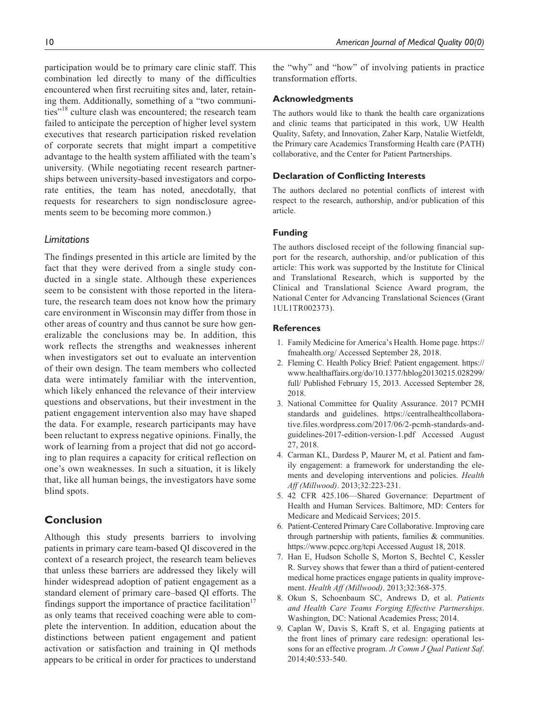participation would be to primary care clinic staff. This combination led directly to many of the difficulties encountered when first recruiting sites and, later, retaining them. Additionally, something of a "two communities"<sup>18</sup> culture clash was encountered; the research team failed to anticipate the perception of higher level system executives that research participation risked revelation of corporate secrets that might impart a competitive advantage to the health system affiliated with the team's university. (While negotiating recent research partnerships between university-based investigators and corporate entities, the team has noted, anecdotally, that requests for researchers to sign nondisclosure agreements seem to be becoming more common.)

# *Limitations*

The findings presented in this article are limited by the fact that they were derived from a single study conducted in a single state. Although these experiences seem to be consistent with those reported in the literature, the research team does not know how the primary care environment in Wisconsin may differ from those in other areas of country and thus cannot be sure how generalizable the conclusions may be. In addition, this work reflects the strengths and weaknesses inherent when investigators set out to evaluate an intervention of their own design. The team members who collected data were intimately familiar with the intervention, which likely enhanced the relevance of their interview questions and observations, but their investment in the patient engagement intervention also may have shaped the data. For example, research participants may have been reluctant to express negative opinions. Finally, the work of learning from a project that did not go according to plan requires a capacity for critical reflection on one's own weaknesses. In such a situation, it is likely that, like all human beings, the investigators have some blind spots.

# **Conclusion**

Although this study presents barriers to involving patients in primary care team-based QI discovered in the context of a research project, the research team believes that unless these barriers are addressed they likely will hinder widespread adoption of patient engagement as a standard element of primary care–based QI efforts. The findings support the importance of practice facilitation<sup>17</sup> as only teams that received coaching were able to complete the intervention. In addition, education about the distinctions between patient engagement and patient activation or satisfaction and training in QI methods appears to be critical in order for practices to understand the "why" and "how" of involving patients in practice transformation efforts.

## **Acknowledgments**

The authors would like to thank the health care organizations and clinic teams that participated in this work, UW Health Quality, Safety, and Innovation, Zaher Karp, Natalie Wietfeldt, the Primary care Academics Transforming Health care (PATH) collaborative, and the Center for Patient Partnerships.

## **Declaration of Conflicting Interests**

The authors declared no potential conflicts of interest with respect to the research, authorship, and/or publication of this article.

## **Funding**

The authors disclosed receipt of the following financial support for the research, authorship, and/or publication of this article: This work was supported by the Institute for Clinical and Translational Research, which is supported by the Clinical and Translational Science Award program, the National Center for Advancing Translational Sciences (Grant 1UL1TR002373).

#### **References**

- 1. Family Medicine for America's Health. Home page. [https://](https://fmahealth.org/) [fmahealth.org/](https://fmahealth.org/) Accessed September 28, 2018.
- 2. Fleming C. Health Policy Brief: Patient engagement. [https://](https://www.healthaffairs.org/do/10.1377/hblog20130215.028299/full/) [www.healthaffairs.org/do/10.1377/hblog20130215.028299/](https://www.healthaffairs.org/do/10.1377/hblog20130215.028299/full/) [full/](https://www.healthaffairs.org/do/10.1377/hblog20130215.028299/full/) Published February 15, 2013. Accessed September 28, 2018.
- 3. National Committee for Quality Assurance. 2017 PCMH standards and guidelines. [https://centralhealthcollabora](https://centralhealthcollaborative.files.wordpress.com/2017/06/2-pcmh-standards-and-guidelines-2017-edition-version-1.pdf)[tive.files.wordpress.com/2017/06/2-pcmh-standards-and](https://centralhealthcollaborative.files.wordpress.com/2017/06/2-pcmh-standards-and-guidelines-2017-edition-version-1.pdf)[guidelines-2017-edition-version-1.pdf](https://centralhealthcollaborative.files.wordpress.com/2017/06/2-pcmh-standards-and-guidelines-2017-edition-version-1.pdf) Accessed August 27, 2018.
- 4. Carman KL, Dardess P, Maurer M, et al. Patient and family engagement: a framework for understanding the elements and developing interventions and policies. *Health Aff (Millwood)*. 2013;32:223-231.
- 5. 42 CFR 425.106—Shared Governance: Department of Health and Human Services. Baltimore, MD: Centers for Medicare and Medicaid Services; 2015.
- 6. Patient-Centered Primary Care Collaborative. Improving care through partnership with patients, families & communities. <https://www.pcpcc.org/tcpi> Accessed August 18, 2018.
- 7. Han E, Hudson Scholle S, Morton S, Bechtel C, Kessler R. Survey shows that fewer than a third of patient-centered medical home practices engage patients in quality improvement. *Health Aff (Millwood)*. 2013;32:368-375.
- 8. Okun S, Schoenbaum SC, Andrews D, et al. *Patients and Health Care Teams Forging Effective Partnerships*. Washington, DC: National Academies Press; 2014.
- 9. Caplan W, Davis S, Kraft S, et al. Engaging patients at the front lines of primary care redesign: operational lessons for an effective program. *Jt Comm J Qual Patient Saf*. 2014;40:533-540.